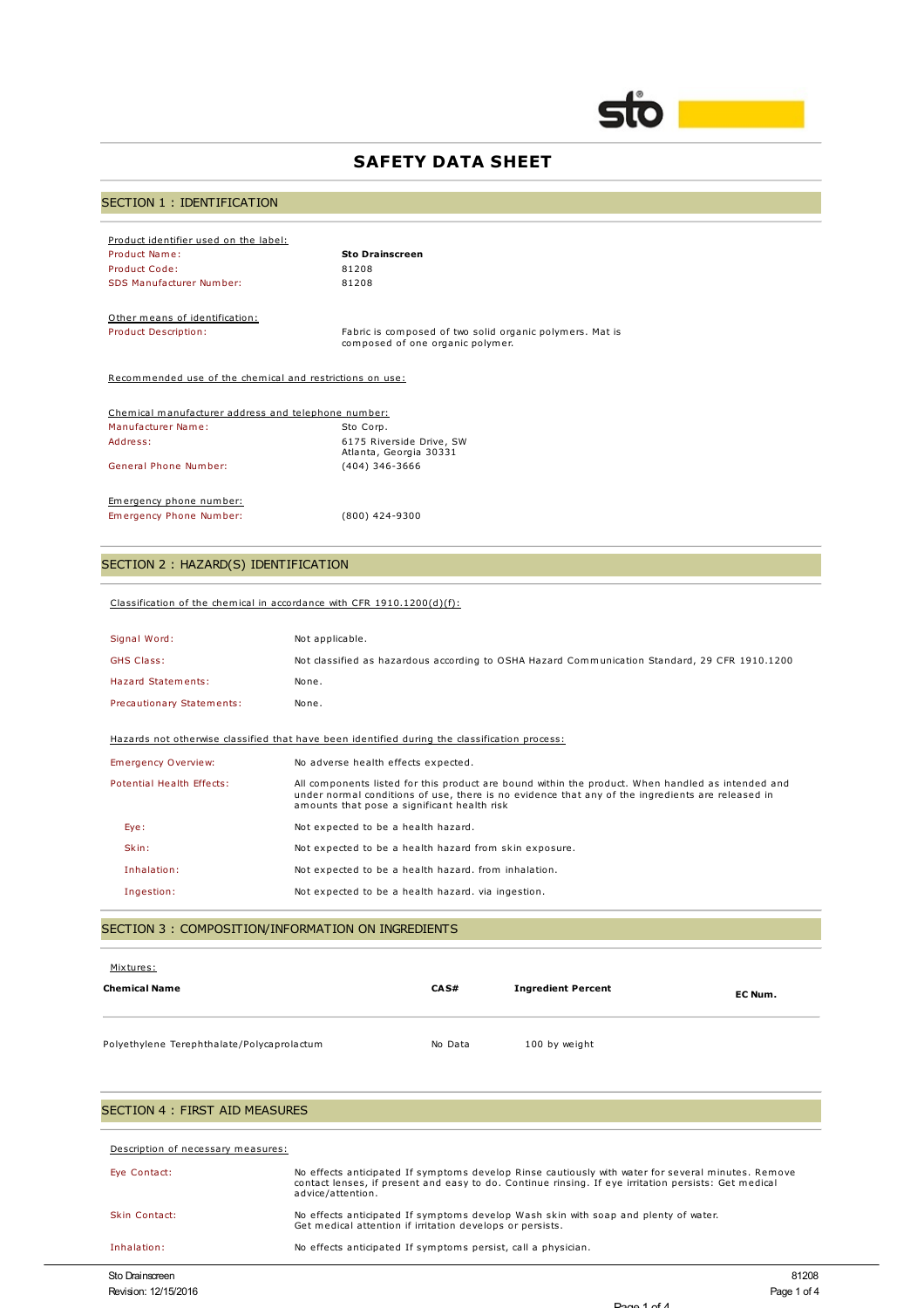

## **SAFETY DATA SHEET**

# SECTION 1 : IDENTIFICATION

| Product identifier used on the label: |                        |
|---------------------------------------|------------------------|
| Product Name:                         | <b>Sto Drainscreen</b> |
| Product Code:                         | 81208                  |
| SDS Manufacturer Number:              | 81208                  |

Other means of identification:<br>Product Description:

Product Description: Fabric is composed of two solid organic polymers. Mat is composed of one organic polymer.

Recommended use of the chemical and restrictions on use:

| Chemical manufacturer address and telephone number: |                                                    |
|-----------------------------------------------------|----------------------------------------------------|
| Manufacturer Name:                                  | Sto Corp.                                          |
| Address:                                            | 6175 Riverside Drive, SW<br>Atlanta, Georgia 30331 |
| General Phone Number:                               | $(404)$ 346-3666                                   |
| Emergency phone number:                             |                                                    |
| Emergency Phone Number:                             | $(800)$ 424-9300                                   |

# SECTION 2 : HAZARD(S) IDENTIFICATION

|  |  |  | Classification of the chemical in accordance with CFR $1910.1200(d)(f)$ : |  |
|--|--|--|---------------------------------------------------------------------------|--|
|  |  |  |                                                                           |  |

| Signal Word:               | Not applicable.                                                                                                                                                                                                                                      |
|----------------------------|------------------------------------------------------------------------------------------------------------------------------------------------------------------------------------------------------------------------------------------------------|
| <b>GHS Class:</b>          | Not classified as hazardous according to OSHA Hazard Communication Standard, 29 CFR 1910.1200                                                                                                                                                        |
| Hazard Statements:         | None.                                                                                                                                                                                                                                                |
| Precautionary Statements:  | None.                                                                                                                                                                                                                                                |
|                            | Hazards not otherwise classified that have been identified during the classification process:                                                                                                                                                        |
| <b>Emergency Overview:</b> | No adverse health effects expected.                                                                                                                                                                                                                  |
| Potential Health Effects:  | All components listed for this product are bound within the product. When handled as intended and<br>under normal conditions of use, there is no evidence that any of the ingredients are released in<br>amounts that pose a significant health risk |
| Eye:                       | Not expected to be a health hazard.                                                                                                                                                                                                                  |
| Skin:                      | Not expected to be a health hazard from skin exposure.                                                                                                                                                                                               |
| Inhalation:                | Not expected to be a health hazard. from inhalation.                                                                                                                                                                                                 |
| Ingestion:                 | Not expected to be a health hazard, via ingestion.                                                                                                                                                                                                   |

#### SECTION 3 : COMPOSITION/INFORMATION ON INGREDIENTS

| Mixtures:<br><b>Chemical Name</b>          | CAS#    | <b>Ingredient Percent</b> | EC Num. |
|--------------------------------------------|---------|---------------------------|---------|
| Polyethylene Terephthalate/Polycaprolactum | No Data | 100 by weight             |         |

# SECTION 4 : FIRST AID MEASURES

| Description of necessary measures: |                                                                                                                                                                                                                                 |
|------------------------------------|---------------------------------------------------------------------------------------------------------------------------------------------------------------------------------------------------------------------------------|
| Eye Contact:                       | No effects anticipated If symptoms develop Rinse cautiously with water for several minutes. Remove<br>contact lenses, if present and easy to do. Continue rinsing. If eye irritation persists: Get medical<br>advice/attention. |
| Skin Contact:                      | No effects anticipated If symptoms develop Wash skin with soap and plenty of water.<br>Get medical attention if irritation develops or persists.                                                                                |
| Inhalation:                        | No effects anticipated If symptoms persist, call a physician.                                                                                                                                                                   |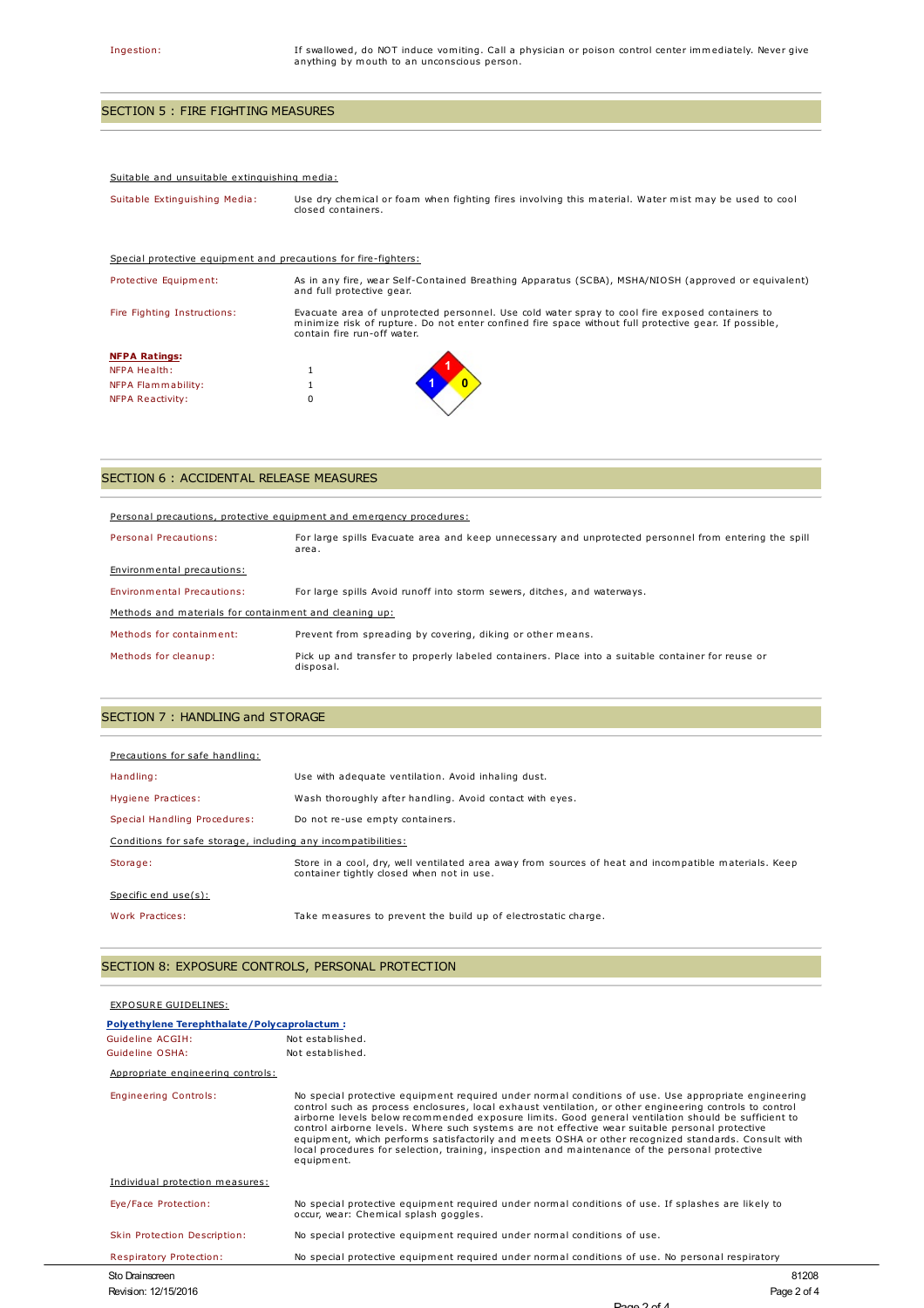# SECTION 5 : FIRE FIGHTING MEASURES

#### Suitable and unsuitable extinguishing media:

| Suitable Extinguishing Media: | Use dry chemical or foam when fighting fires involving this material. Water mist may be used to cool<br>closed containers. |
|-------------------------------|----------------------------------------------------------------------------------------------------------------------------|
|                               |                                                                                                                            |

| Special protective equipment and precautions for fire-fighters: |                                                                                                                                                                                                                                         |
|-----------------------------------------------------------------|-----------------------------------------------------------------------------------------------------------------------------------------------------------------------------------------------------------------------------------------|
| Protective Equipment:                                           | As in any fire, wear Self-Contained Breathing Apparatus (SCBA), MSHA/NIOSH (approved or equivalent)<br>and full protective gear.                                                                                                        |
| Fire Fighting Instructions:                                     | Evacuate area of unprotected personnel. Use cold water spray to cool fire exposed containers to<br>minimize risk of rupture. Do not enter confined fire space without full protective gear. If possible,<br>contain fire run-off water. |
| <b>NFPA Ratings:</b>                                            |                                                                                                                                                                                                                                         |
| NFPA Health:                                                    |                                                                                                                                                                                                                                         |
| NFPA Flammability:                                              |                                                                                                                                                                                                                                         |
| NFPA Reactivity:                                                | 0                                                                                                                                                                                                                                       |

# SECTION 6 : ACCIDENTAL RELEASE MEASURES

| Personal precautions, protective equipment and emergency procedures: |                                                                                                                |  |
|----------------------------------------------------------------------|----------------------------------------------------------------------------------------------------------------|--|
| Personal Precautions:                                                | For large spills Evacuate area and keep unnecessary and unprotected personnel from entering the spill<br>area. |  |
| Environmental precautions:                                           |                                                                                                                |  |
| <b>Environmental Precautions:</b>                                    | For large spills Avoid runoff into storm sewers, ditches, and waterways.                                       |  |
| Methods and materials for containment and cleaning up:               |                                                                                                                |  |
| Methods for containment:                                             | Prevent from spreading by covering, diking or other means.                                                     |  |
| Methods for cleanup:                                                 | Pick up and transfer to properly labeled containers. Place into a suitable container for reuse or<br>disposal. |  |

## SECTION 7 : HANDLING and STORAGE

| Precautions for safe handling:                                |                                                                                                                                                    |  |
|---------------------------------------------------------------|----------------------------------------------------------------------------------------------------------------------------------------------------|--|
| Handling:                                                     | Use with adequate ventilation. Avoid inhaling dust.                                                                                                |  |
| Hygiene Practices:                                            | Wash thoroughly after handling. Avoid contact with eyes.                                                                                           |  |
| Special Handling Procedures:                                  | Do not re-use empty containers.                                                                                                                    |  |
| Conditions for safe storage, including any incompatibilities: |                                                                                                                                                    |  |
| Storage:                                                      | Store in a cool, dry, well ventilated area away from sources of heat and incompatible materials. Keep<br>container tightly closed when not in use. |  |
| Specific end $use(s)$ :                                       |                                                                                                                                                    |  |
| Work Practices:                                               | Take measures to prevent the build up of electrostatic charge.                                                                                     |  |

## SECTION 8: EXPOSURE CONTROLS, PERSONAL PROTECTION

| EXPOSURE GUIDELINES:                        |                                                                                                                                                                                                                                                                                                                                                                                                                                                                                                                                                                                                                                                   |
|---------------------------------------------|---------------------------------------------------------------------------------------------------------------------------------------------------------------------------------------------------------------------------------------------------------------------------------------------------------------------------------------------------------------------------------------------------------------------------------------------------------------------------------------------------------------------------------------------------------------------------------------------------------------------------------------------------|
| Polyethylene Terephthalate/Polycaprolactum: |                                                                                                                                                                                                                                                                                                                                                                                                                                                                                                                                                                                                                                                   |
| Guideline ACGIH:                            | Not established.                                                                                                                                                                                                                                                                                                                                                                                                                                                                                                                                                                                                                                  |
| Guideline OSHA:                             | Not established.                                                                                                                                                                                                                                                                                                                                                                                                                                                                                                                                                                                                                                  |
| Appropriate engineering controls:           |                                                                                                                                                                                                                                                                                                                                                                                                                                                                                                                                                                                                                                                   |
| <b>Engineering Controls:</b>                | No special protective equipment required under normal conditions of use. Use appropriate engineering<br>control such as process enclosures, local exhaust ventilation, or other engineering controls to control<br>airborne levels below recommended exposure limits. Good general ventilation should be sufficient to<br>control airborne levels. Where such systems are not effective wear suitable personal protective<br>equipment, which performs satisfactorily and meets OSHA or other recognized standards. Consult with<br>local procedures for selection, training, inspection and maintenance of the personal protective<br>equipment. |
| Individual protection measures:             |                                                                                                                                                                                                                                                                                                                                                                                                                                                                                                                                                                                                                                                   |
| Eye/Face Protection:                        | No special protective equipment required under normal conditions of use. If splashes are likely to<br>occur, wear: Chemical splash goggles.                                                                                                                                                                                                                                                                                                                                                                                                                                                                                                       |
| Skin Protection Description:                | No special protective equipment required under normal conditions of use.                                                                                                                                                                                                                                                                                                                                                                                                                                                                                                                                                                          |
| <b>Respiratory Protection:</b>              | No special protective equipment required under normal conditions of use. No personal respiratory                                                                                                                                                                                                                                                                                                                                                                                                                                                                                                                                                  |
| Sto Drainscreen                             | 81208                                                                                                                                                                                                                                                                                                                                                                                                                                                                                                                                                                                                                                             |
| Revision: 12/15/2016                        | Page 2 of 4                                                                                                                                                                                                                                                                                                                                                                                                                                                                                                                                                                                                                                       |

Page 2 of 4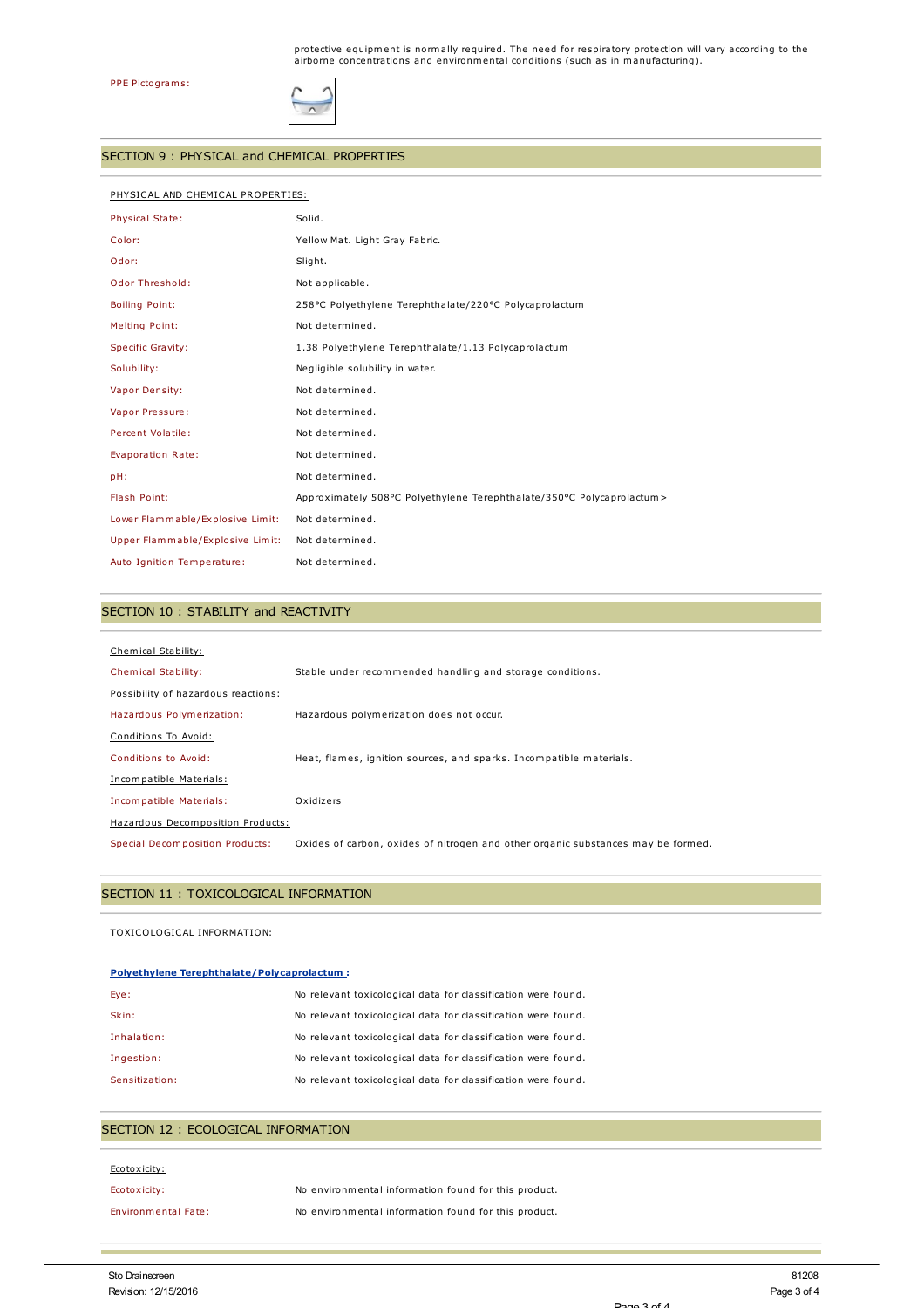

#### SECTION 9 : PHYSICAL and CHEMICAL PROPERTIES

### PHYSICAL AND CHEMICAL PROPERTIES:

| <b>Physical State:</b>           | Solid.                                                                 |
|----------------------------------|------------------------------------------------------------------------|
| Color:                           | Yellow Mat. Light Gray Fabric.                                         |
| Odor:                            | Slight.                                                                |
| <b>Odor Threshold:</b>           | Not applicable.                                                        |
| <b>Boiling Point:</b>            | 258°C Polyethylene Terephthalate/220°C Polycaprolactum                 |
| Melting Point:                   | Not determined.                                                        |
| Specific Gravity:                | 1.38 Polyethylene Terephthalate/1.13 Polycaprolactum                   |
| Solubility:                      | Negligible solubility in water.                                        |
| Vapor Density:                   | Not determined.                                                        |
| Vapor Pressure:                  | Not determined.                                                        |
| Percent Volatile:                | Not determined.                                                        |
| Evaporation Rate:                | Not determined.                                                        |
| pH:                              | Not determined.                                                        |
| Flash Point:                     | Approximately 508°C Polyethylene Terephthalate/350°C Polycaprolactum > |
| Lower Flammable/Explosive Limit: | Not determined.                                                        |
| Upper Flammable/Explosive Limit: | Not determined.                                                        |
| Auto Ignition Temperature:       | Not determined.                                                        |

## SECTION 10 : STABILITY and REACTIVITY

| Chemical Stability:                 |                                                                                  |
|-------------------------------------|----------------------------------------------------------------------------------|
| Chemical Stability:                 | Stable under recommended handling and storage conditions.                        |
| Possibility of hazardous reactions: |                                                                                  |
| Hazardous Polymerization:           | Hazardous polymerization does not occur.                                         |
| Conditions To Avoid:                |                                                                                  |
| Conditions to Avoid:                | Heat, flames, ignition sources, and sparks. Incompatible materials.              |
| Incompatible Materials:             |                                                                                  |
| Incompatible Materials:             | Oxidizers                                                                        |
| Hazardous Decomposition Products:   |                                                                                  |
| Special Decomposition Products:     | Oxides of carbon, oxides of nitrogen and other organic substances may be formed. |

### SECTION 11 : TOXICOLOGICAL INFORMATION

#### TOXICOLOGICAL INFORMATION:

#### **Polyethylene Terephthalate/Polycaprolactum :**

| Eye:           | No relevant toxicological data for classification were found. |
|----------------|---------------------------------------------------------------|
| Skin:          | No relevant toxicological data for classification were found. |
| Inhalation:    | No relevant toxicological data for classification were found. |
| Ingestion:     | No relevant toxicological data for classification were found. |
| Sensitization: | No relevant toxicological data for classification were found. |

## SECTION 12 : ECOLOGICAL INFORMATION

| Ecotoxicity:               |                                                      |
|----------------------------|------------------------------------------------------|
| Ecotoxicity:               | No environmental information found for this product. |
| <b>Environmental Fate:</b> | No environmental information found for this product. |